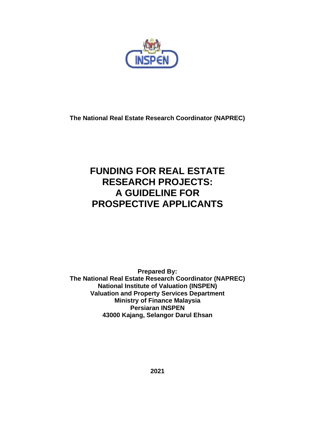

**The National Real Estate Research Coordinator (NAPREC)**

# **FUNDING FOR REAL ESTATE RESEARCH PROJECTS: A GUIDELINE FOR PROSPECTIVE APPLICANTS**

**Prepared By: The National Real Estate Research Coordinator (NAPREC) National Institute of Valuation (INSPEN) Valuation and Property Services Department Ministry of Finance Malaysia Persiaran INSPEN 43000 Kajang, Selangor Darul Ehsan**

**2021**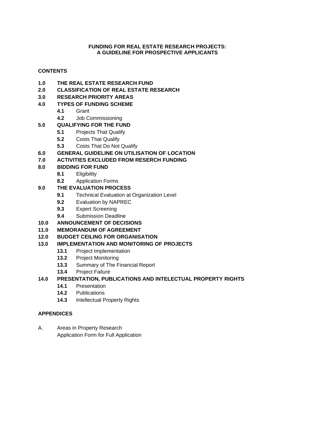## **FUNDING FOR REAL ESTATE RESEARCH PROJECTS: A GUIDELINE FOR PROSPECTIVE APPLICANTS**

# **CONTENTS**

- 
- **1.0 THE REAL ESTATE RESEARCH FUND 2.0 CLASSIFICATION OF REAL ESTATE RESEARCH**
- **3.0 RESEARCH PRIORITY AREAS**

## **4.0 TYPES OF FUNDING SCHEME**

- **4.1** Grant
- **4.2** Job Commissioning

# **5.0 QUALIFYING FOR THE FUND**

- **5.1** Projects That Qualify
- **5.2** Costs That Qualify
- **5.3** Costs That Do Not Qualify
- **6.0 GENERAL GUIDELINE ON UTILISATION OF LOCATION**

# **7.0 ACTIVITIES EXCLUDED FROM RESERCH FUNDING**

- **8.0 BIDDING FOR FUND**
	- **8.1** Eligibility
	- **8.2** Application Forms

# **9.0 THE EVALUATION PROCESS**

- **9.1** Technical Evaluation at Organization Level
- **9.2** Evaluation by NAPREC
- **9.3** Expert Screening
- **9.4** Submission Deadline

# **10.0 ANNOUNCEMENT OF DECISIONS**

### **11.0 MEMORANDUM OF AGREEMENT**

### **12.0 BUDGET CEILING FOR ORGANISATION**

# **13.0 IMPLEMENTATION AND MONITORING OF PROJECTS**

- **13.1** Project Implementation
- **13.2** Project Monitoring
- **13.3** Summary of The Financial Report
- **13.4** Project Failure

# **14.0 PRESENTATION, PUBLICATIONS AND INTELECTUAL PROPERTY RIGHTS**

- **14.1** Presentation
- **14.2** Publications
- **14.3** Intellectual Property Rights

### **APPENDICES**

A. Areas in Property Research Application Form for Full Application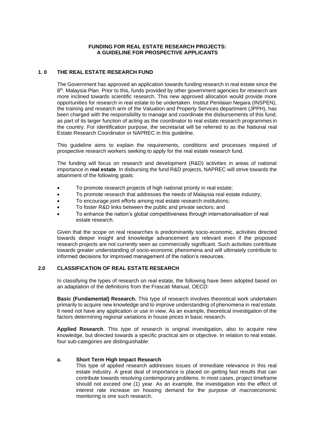### **FUNDING FOR REAL ESTATE RESEARCH PROJECTS: A GUIDELINE FOR PROSPECTIVE APPLICANTS**

### **1. 0 THE REAL ESTATE RESEARCH FUND**

The Government has approved an application towards funding research in real estate since the 8<sup>th</sup>. Malaysia Plan. Prior to this, funds provided by other government agencies for research are more inclined towards scientific research. This new approved allocation would provide more opportunities for research in real estate to be undertaken. Institut Penilaian Negara (INSPEN), the training and research arm of the Valuation and Property Services department (JPPH), has been charged with the responsibility to manage and coordinate the disbursements of this fund, as part of its larger function of acting as the coordinator to real estate research programmes in the country. For identification purpose, the secretariat will be referred to as the National real Estate Research Coordinator or NAPREC in this guideline.

This guideline aims to explain the requirements, conditions and processes required of prospective research workers seeking to apply for the real estate research fund.

The funding will focus on research and development (R&D) activities in areas of national importance in **real estate**. In disbursing the fund R&D projects, NAPREC will strive towards the attainment of the following goals:

- To promote research projects of high national priority in real estate;
- To promote research that addresses the needs of Malaysia real estate industry;
- To encourage joint efforts among real estate research institutions;
- To foster R&D links between the public and private sectors; and
- To enhance the nation's global competitiveness through internationalisation of real estate research.

Given that the scope on real researches is predominantly socio-economic, activities directed towards deeper insight and knowledge advancement are relevant even if the proposed research projects are not currently seen as commercially significant. Such activities contribute towards greater understanding of socio-economic phenomena and will ultimately contribute to informed decisions for improved management of the nation's resources.

### **2.0 CLASSIFICATION OF REAL ESTATE RESEARCH**

In classifying the types of research on real estate, the following have been adopted based on an adaptation of the definitions from the Frascati Manual, OECD:

**Basic (Fundamental) Research.** This type of research involves theoretical work undertaken primarily to acquire new knowledge and to improve understanding of phenomena in real estate. It need not have any application or use in view. As an example, theoretical investigation of the factors determining regional variations in house prices in basic research.

**Applied Research**. This type of research is original investigation, also to acquire new knowledge, but directed towards a specific practical aim or objective. In relation to real estate, four sub-categories are distinguishable:

#### **a. Short Term High Impact Research**

This type of applied research addresses issues of immediate relevance in this real estate industry. A great deal of importance is placed on getting fast results that can contribute towards resolving contemporary problems. In most cases, project timeframe should not exceed one (1) year. As an example, the investigation into the effect of interest rate increase on housing demand for the purpose of macroeconomic monitoring is one such research.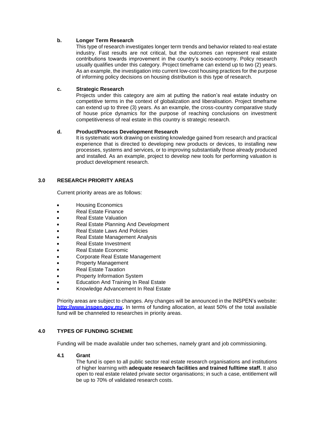### **b. Longer Term Research**

This type of research investigates longer term trends and behavior related to real estate industry. Fast results are not critical, but the outcomes can represent real estate contributions towards improvement in the country's socio-economy. Policy research usually qualifies under this category. Project timeframe can extend up to two (2) years. As an example, the investigation into current low-cost housing practices for the purpose of informing policy decisions on housing distribution is this type of research.

### **c. Strategic Research**

Projects under this category are aim at putting the nation's real estate industry on competitive terms in the context of globalization and liberalisation. Project timeframe can extend up to three (3) years. As an example, the cross-country comparative study of house price dynamics for the purpose of reaching conclusions on investment competitiveness of real estate in this country is strategic research.

### **d. Product/Process Development Research**

It is systematic work drawing on existing knowledge gained from research and practical experience that is directed to developing new products or devices, to installing new processes, systems and services, or to improving substantially those already produced and installed. As an example, project to develop new tools for performing valuation is product development research.

### **3.0 RESEARCH PRIORITY AREAS**

Current priority areas are as follows:

- Housing Economics
- Real Estate Finance
- Real Estate Valuation
- Real Estate Planning And Development
- Real Estate Laws And Policies
- Real Estate Management Analysis
- Real Estate Investment
- Real Estate Economic
- Corporate Real Estate Management
- Property Management
- Real Estate Taxation
- Property Information System
- Education And Training In Real Estate
- Knowledge Advancement In Real Estate

Priority areas are subject to changes. Any changes will be announced in the INSPEN's website: **[http://www.inspen.gov.my.](http://www.inspen.gov.my/)** In terms of funding allocation, at least 50% of the total available fund will be channeled to researches in priority areas.

### **4.0 TYPES OF FUNDING SCHEME**

Funding will be made available under two schemes, namely grant and job commissioning.

# **4.1 Grant**

The fund is open to all public sector real estate research organisations and institutions of higher learning with **adequate research facilities and trained fulltime staff.** It also open to real estate related private sector organisations; in such a case, entitlement will be up to 70% of validated research costs.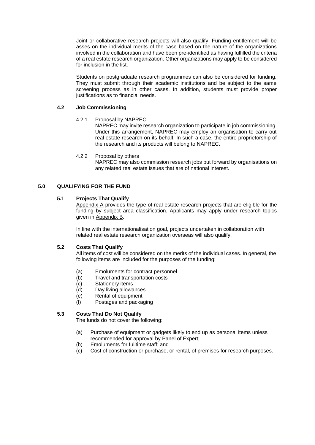Joint or collaborative research projects will also qualify. Funding entitlement will be asses on the individual merits of the case based on the nature of the organizations involved in the collaboration and have been pre-identified as having fulfilled the criteria of a real estate research organization. Other organizations may apply to be considered for inclusion in the list.

Students on postgraduate research programmes can also be considered for funding. They must submit through their academic institutions and be subject to the same screening process as in other cases. In addition, students must provide proper justifications as to financial needs.

### **4.2 Job Commissioning**

### 4.2.1 Proposal by NAPREC

NAPREC may invite research organization to participate in job commissioning. Under this arrangement, NAPREC may employ an organisation to carry out real estate research on its behalf. In such a case, the entire proprietorship of the research and its products will belong to NAPREC.

#### 4.2.2 Proposal by others

NAPREC may also commission research jobs put forward by organisations on any related real estate issues that are of national interest.

### **5.0 QUALIFYING FOR THE FUND**

### **5.1 Projects That Qualify**

Appendix A provides the type of real estate research projects that are eligible for the funding by subject area classification. Applicants may apply under research topics given in Appendix B.

In line with the internationalisation goal, projects undertaken in collaboration with related real estate research organization overseas will also qualify.

### **5.2 Costs That Qualify**

All items of cost will be considered on the merits of the individual cases. In general, the following items are included for the purposes of the funding:

- (a) Emoluments for contract personnel
- (b) Travel and transportation costs
- (c) Stationery items
- (d) Day living allowances
- (e) Rental of equipment
- (f) Postages and packaging

### **5.3 Costs That Do Not Qualify**

The funds do not cover the following:

- (a) Purchase of equipment or gadgets likely to end up as personal items unless recommended for approval by Panel of Expert;
- (b) Emoluments for fulltime staff; and
- (c) Cost of construction or purchase, or rental, of premises for research purposes.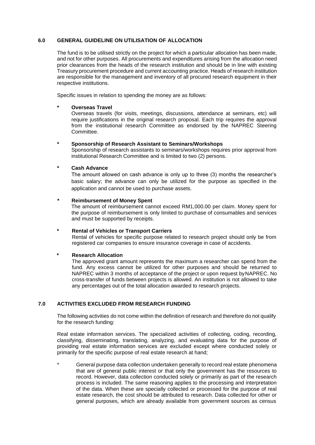### **6.0 GENERAL GUIDELINE ON UTILISATION OF ALLOCATION**

The fund is to be utilised strictly on the project for which a particular allocation has been made, and not for other purposes. All procurements and expenditures arising from the allocation need prior clearances from the heads of the research institution and should be in line with existing Treasury procurement procedure and current accounting practice. Heads of research institution are responsible for the management and inventory of all procured research equipment in their respective institutions.

Specific issues in relation to spending the money are as follows:

### **\* Overseas Travel**

Overseas travels (for visits, meetings, discussions, attendance at seminars, etc) will require justifications in the original research proposal. Each trip requires the approval from the institutional research Committee as endorsed by the NAPREC Steering Committee.

### **\* Sponsorship of Research Assistant to Seminars/Workshops**

Sponsorship of research assistants to seminars/workshops requires prior approval from institutional Research Committee and is limited to two (2) persons.

### **\* Cash Advance**

The amount allowed on cash advance is only up to three (3) months the researcher's basic salary; the advance can only be utilized for the purpose as specified in the application and cannot be used to purchase assets.

### **\* Reimbursement of Money Spent**

The amount of reimbursement cannot exceed RM1,000.00 per claim. Money spent for the purpose of reimbursement is only limited to purchase of consumables and services and must be supported by receipts.

### **\* Rental of Vehicles or Transport Carriers**

Rental of vehicles for specific purpose related to research project should only be from registered car companies to ensure insurance coverage in case of accidents.

### **\* Research Allocation**

The approved grant amount represents the maximum a researcher can spend from the fund. Any excess cannot be utilized for other purposes and should be returned to NAPREC within 3 months of acceptance of the project or upon request byNAPREC. No cross-transfer of funds between projects is allowed. An institution is not allowed to take any percentages out of the total allocation awarded to research projects.

### **7.0 ACTIVITIES EXCLUDED FROM RESEARCH FUNDING**

The following activities do not come within the definition of research and therefore do not qualify for the research funding:

Real estate information services. The specialized activities of collecting, coding, recording, classifying, disseminating, translating, analyzing, and evaluating data for the purpose of providing real estate information services are excluded except where conducted solely or primarily for the specific purpose of real estate research at hand;

General purpose data collection undertaken generally to record real estate phenomena that are of general public interest or that only the government has the resources to record. However, data collection conducted solely or primarily as part of the research process is included. The same reasoning applies to the processing and interpretation of the data. When these are specially collected or processed for the purpose of real estate research, the cost should be attributed to research. Data collected for other or general purposes, which are already available from government sources as census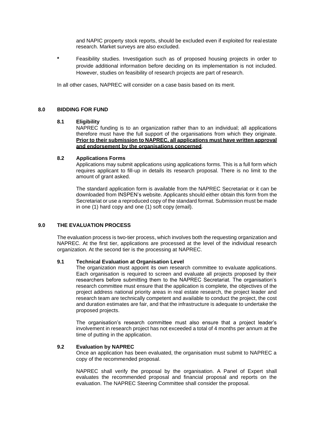and NAPIC property stock reports, should be excluded even if exploited for real estate research. Market surveys are also excluded.

**\*** Feasibility studies. Investigation such as of proposed housing projects in order to provide additional information before deciding on its implementation is not included. However, studies on feasibility of research projects are part of research.

In all other cases, NAPREC will consider on a case basis based on its merit.

### **8.0 BIDDING FOR FUND**

#### **8.1 Eligibility**

NAPREC funding is to an organization rather than to an individual; all applications therefore must have the full support of the organisations from which they originate. **Prior to their submission to NAPREC, all applications must have written approval and endorsement by the organisations concerned**.

#### **8.2 Applications Forms**

Applications may submit applications using applications forms. This is a full form which requires applicant to fill-up in details its research proposal. There is no limit to the amount of grant asked.

The standard application form is available from the NAPREC Secretariat or it can be downloaded from INSPEN's website. Applicants should either obtain this form from the Secretariat or use a reproduced copy of the standard format. Submission must be made in one (1) hard copy and one (1) soft copy (email).

### **9.0 THE EVALUATION PROCESS**

The evaluation process is two-tier process, which involves both the requesting organization and NAPREC. At the first tier, applications are processed at the level of the individual research organization. At the second tier is the processing at NAPREC.

#### **9.1 Technical Evaluation at Organisation Level**

The organization must appoint its own research committee to evaluate applications. Each organisation is required to screen and evaluate all projects proposed by their researchers before submitting them to the NAPREC Secretariat. The organisation's research committee must ensure that the application is complete, the objectives of the project address national priority areas in real estate research, the project leader and research team are technically competent and available to conduct the project, the cost and duration estimates are fair, and that the infrastructure is adequate to undertake the proposed projects.

The organisation's research committee must also ensure that a project leader's involvement in research project has not exceeded a total of 4 months per annum at the time of putting in the application.

#### **9.2 Evaluation by NAPREC**

Once an application has been evaluated, the organisation must submit to NAPREC a copy of the recommended proposal.

NAPREC shall verify the proposal by the organisation. A Panel of Expert shall evaluates the recommended proposal and financial proposal and reports on the evaluation. The NAPREC Steering Committee shall consider the proposal.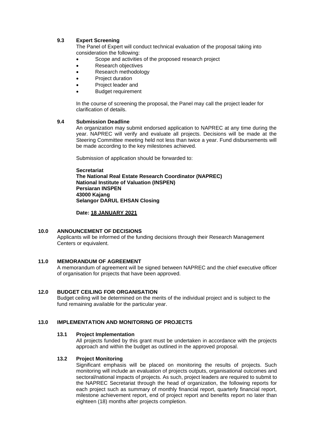### **9.3 Expert Screening**

The Panel of Expert will conduct technical evaluation of the proposal taking into consideration the following:

- Scope and activities of the proposed research project
- Research objectives
- Research methodology
- Project duration
- Project leader and
- Budget requirement

In the course of screening the proposal, the Panel may call the project leader for clarification of details.

#### **9.4 Submission Deadline**

An organization may submit endorsed application to NAPREC at any time during the year. NAPREC will verify and evaluate all projects. Decisions will be made at the Steering Committee meeting held not less than twice a year. Fund disbursements will be made according to the key milestones achieved.

Submission of application should be forwarded to:

#### **Secretariat**

**The National Real Estate Research Coordinator (NAPREC) National Institute of Valuation (INSPEN) Persiaran INSPEN 43000 Kajang Selangor DARUL EHSAN Closing** 

#### **Date: 18 JANUARY 2021**

### **10.0 ANNOUNCEMENT OF DECISIONS**

Applicants will be informed of the funding decisions through their Research Management Centers or equivalent.

### **11.0 MEMORANDUM OF AGREEMENT**

A memorandum of agreement will be signed between NAPREC and the chief executive officer of organisation for projects that have been approved.

#### **12.0 BUDGET CEILING FOR ORGANISATION**

Budget ceiling will be determined on the merits of the individual project and is subject to the fund remaining available for the particular year.

### **13.0 IMPLEMENTATION AND MONITORING OF PROJECTS**

### **13.1 Project Implementation**

All projects funded by this grant must be undertaken in accordance with the projects approach and within the budget as outlined in the approved proposal.

#### **13.2 Project Monitoring**

Significant emphasis will be placed on monitoring the results of projects. Such monitoring will include an evaluation of projects outputs, organisational outcomes and sectoral/national impacts of projects. As such, project leaders are required to submit to the NAPREC Secretariat through the head of organization, the following reports for each project such as summary of monthly financial report, quarterly financial report, milestone achievement report, end of project report and benefits report no later than eighteen (18) months after projects completion.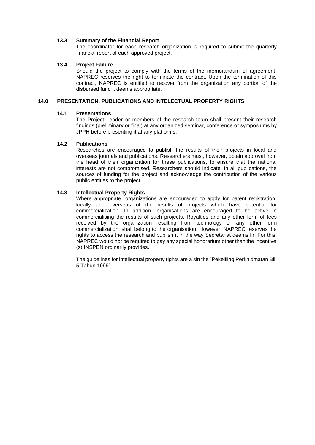#### **13.3 Summary of the Financial Report**

The coordinator for each research organization is required to submit the quarterly financial report of each approved project.

#### **13.4 Project Failure**

Should the project to comply with the terms of the memorandum of agreement, NAPREC reserves the right to terminate the contract. Upon the termination of this contract, NAPREC is entitled to recover from the organization any portion of the disbursed fund it deems appropriate.

### **14.0 PRESENTATION, PUBLICATIONS AND INTELECTUAL PROPERTY RIGHTS**

### **14.1 Presentations**

The Project Leader or members of the research team shall present their research findings (preliminary or final) at any organized seminar, conference or symposiums by JPPH before presenting it at any platforms.

### **14.2 Publications**

Researches are encouraged to publish the results of their projects in local and overseas journals and publications. Researchers must, however, obtain approval from the head of their organization for these publications, to ensure that the national interests are not compromised. Researchers should indicate, in all publications, the sources of funding for the project and acknowledge the contribution of the various public entities to the project.

### **14.3 Intellectual Property Rights**

Where appropriate, organizations are encouraged to apply for patent registration, locally and overseas of the results of projects which have potential for commercialization. In addition, organisations are encouraged to be active in commercialising the results of such projects. Royalties and any other form of fees received by the organization resulting from technology or any other form commercialization, shall belong to the organisation. However, NAPREC reserves the rights to access the research and publish it in the way Secretariat deems fir. For this, NAPREC would not be required to pay any special honorarium other than the incentive (s) INSPEN ordinarily provides.

The guidelines for intellectual property rights are a sin the "Pekeliling Perkhidmatan Bil. 5 Tahun 1999".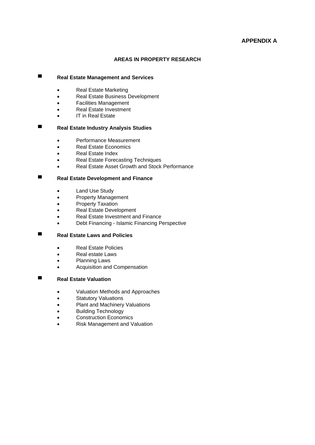# **APPENDIX A**

### **AREAS IN PROPERTY RESEARCH**

# **▀ Real Estate Management and Services**

- Real Estate Marketing
- Real Estate Business Development
- Facilities Management
- Real Estate Investment
- **IT in Real Estate**

# **▀ Real Estate Industry Analysis Studies**

- Performance Measurement
- Real Estate Economics
- Real Estate Index
- Real Estate Forecasting Techniques
- Real Estate Asset Growth and Stock Performance

# **▀ Real Estate Development and Finance**

- Land Use Study
- Property Management
- Property Taxation
- Real Estate Development
- Real Estate Investment and Finance
- Debt Financing Islamic Financing Perspective

# **▀ Real Estate Laws and Policies**

- Real Estate Policies
- Real estate Laws
- Planning Laws
- Acquisition and Compensation

# **▀ Real Estate Valuation**

- Valuation Methods and Approaches
- **Statutory Valuations**
- Plant and Machinery Valuations
- Building Technology
- Construction Economics
- Risk Management and Valuation